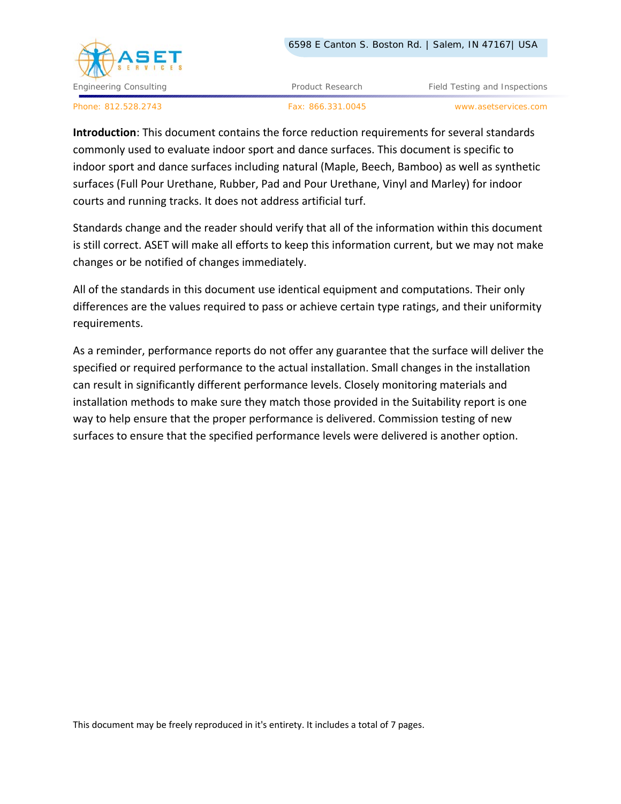

Engineering Consulting **Product Research Field Testing and Inspections Field Testing and Inspections** 

Phone: 812.528.2743 Fax: 866.331.0045 www.asetservices.com

**Introduction**: This document contains the force reduction requirements for several standards commonly used to evaluate indoor sport and dance surfaces. This document is specific to indoor sport and dance surfaces including natural (Maple, Beech, Bamboo) as well as synthetic surfaces (Full Pour Urethane, Rubber, Pad and Pour Urethane, Vinyl and Marley) for indoor courts and running tracks. It does not address artificial turf.

Standards change and the reader should verify that all of the information within this document is still correct. ASET will make all efforts to keep this information current, but we may not make changes or be notified of changes immediately.

All of the standards in this document use identical equipment and computations. Their only differences are the values required to pass or achieve certain type ratings, and their uniformity requirements.

As a reminder, performance reports do not offer any guarantee that the surface will deliver the specified or required performance to the actual installation. Small changes in the installation can result in significantly different performance levels. Closely monitoring materials and installation methods to make sure they match those provided in the Suitability report is one way to help ensure that the proper performance is delivered. Commission testing of new surfaces to ensure that the specified performance levels were delivered is another option.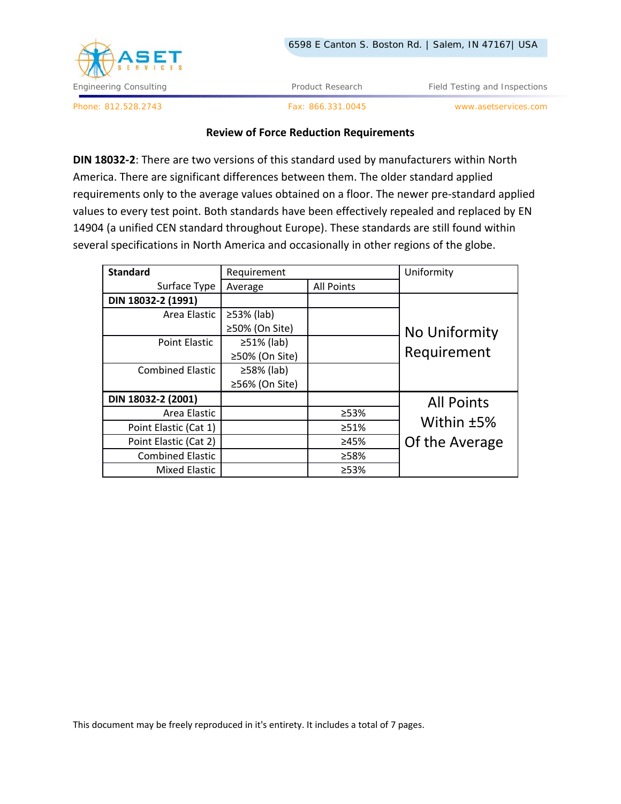

Phone: 812.528.2743 Fax: 866.331.0045 www.asetservices.com

## **Review of Force Reduction Requirements**

**DIN 18032‐2**: There are two versions of this standard used by manufacturers within North America. There are significant differences between them. The older standard applied requirements only to the average values obtained on a floor. The newer pre‐standard applied values to every test point. Both standards have been effectively repealed and replaced by EN 14904 (a unified CEN standard throughout Europe). These standards are still found within several specifications in North America and occasionally in other regions of the globe.

| <b>Standard</b>         | Requirement      |                   | Uniformity        |
|-------------------------|------------------|-------------------|-------------------|
| Surface Type            | Average          | <b>All Points</b> |                   |
| DIN 18032-2 (1991)      |                  |                   |                   |
| Area Elastic            | $\geq$ 53% (lab) |                   |                   |
|                         | ≥50% (On Site)   |                   | No Uniformity     |
| Point Elastic           | $\geq$ 51% (lab) |                   |                   |
|                         | ≥50% (On Site)   |                   | Requirement       |
| <b>Combined Elastic</b> | ≥58% (lab)       |                   |                   |
|                         | ≥56% (On Site)   |                   |                   |
| DIN 18032-2 (2001)      |                  |                   | <b>All Points</b> |
| Area Elastic            |                  | ≥53%              |                   |
| Point Elastic (Cat 1)   |                  | >51%              | Within ±5%        |
| Point Elastic (Cat 2)   |                  | ≥45%              | Of the Average    |
| <b>Combined Elastic</b> |                  | ≥58%              |                   |
| <b>Mixed Elastic</b>    |                  | ≥53%              |                   |

This document may be freely reproduced in it's entirety. It includes a total of 7 pages.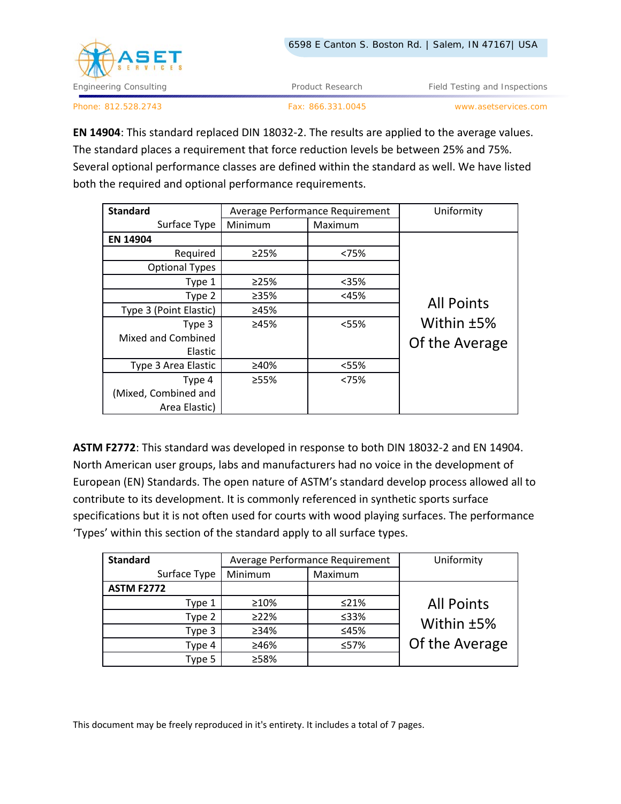

Engineering Consulting Testing Article 2012 Testing Product Research Testing and Inspections Article 2013

Phone: 812.528.2743 Fax: 866.331.0045 www.asetservices.com

**EN 14904**: This standard replaced DIN 18032‐2. The results are applied to the average values. The standard places a requirement that force reduction levels be between 25% and 75%. Several optional performance classes are defined within the standard as well. We have listed both the required and optional performance requirements.

| <b>Standard</b>        | Average Performance Requirement |         | Uniformity        |
|------------------------|---------------------------------|---------|-------------------|
| Surface Type           | Minimum                         | Maximum |                   |
| EN 14904               |                                 |         |                   |
| Required               | >25%                            | <75%    |                   |
| <b>Optional Types</b>  |                                 |         |                   |
| Type 1                 | >25%                            | $35%$   |                   |
| Type 2                 | ≥35%                            | $45%$   |                   |
| Type 3 (Point Elastic) | ≥45%                            |         | <b>All Points</b> |
| Type 3                 | ≥45%                            | $<$ 55% | Within ±5%        |
| Mixed and Combined     |                                 |         | Of the Average    |
| Elastic                |                                 |         |                   |
| Type 3 Area Elastic    | ≥40%                            | <55%    |                   |
| Type 4                 | ≥55%                            | < 75%   |                   |
| (Mixed, Combined and   |                                 |         |                   |
| Area Elastic)          |                                 |         |                   |

**ASTM F2772**: This standard was developed in response to both DIN 18032‐2 and EN 14904. North American user groups, labs and manufacturers had no voice in the development of European (EN) Standards. The open nature of ASTM's standard develop process allowed all to contribute to its development. It is commonly referenced in synthetic sports surface specifications but it is not often used for courts with wood playing surfaces. The performance 'Types' within this section of the standard apply to all surface types.

| <b>Standard</b>   | Average Performance Requirement |            | Uniformity        |
|-------------------|---------------------------------|------------|-------------------|
| Surface Type      | Minimum                         | Maximum    |                   |
| <b>ASTM F2772</b> |                                 |            |                   |
| Type 1            | $\geq 10\%$                     | $\leq$ 21% | <b>All Points</b> |
| Type 2            | $\geq$ 22%                      | ≤33%       | Within ±5%        |
| Type 3            | $>34\%$                         | ≤45%       |                   |
| Type 4            | ≥46%                            | ≤57%       | Of the Average    |
| Type 5            | ≥58%                            |            |                   |

This document may be freely reproduced in it's entirety. It includes a total of 7 pages.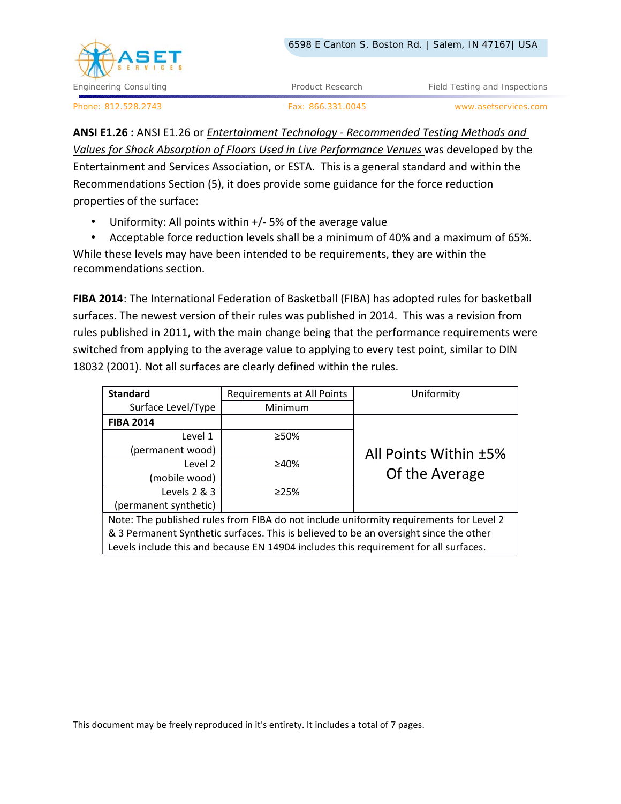

Engineering Consulting Testing Article 2016 Product Research Field Testing and Inspections

Phone: 812.528.2743 Fax: 866.331.0045 www.asetservices.com

**ANSI E1.26 :** ANSI E1.26 or *Entertainment Technology ‐ Recommended Testing Methods and Values for Shock Absorption of Floors Used in Live Performance Venues* was developed by the Entertainment and Services Association, or ESTA. This is a general standard and within the Recommendations Section (5), it does provide some guidance for the force reduction properties of the surface:

• Uniformity: All points within +/-5% of the average value

• Acceptable force reduction levels shall be a minimum of 40% and a maximum of 65%. While these levels may have been intended to be requirements, they are within the recommendations section.

**FIBA 2014**: The International Federation of Basketball (FIBA) has adopted rules for basketball surfaces. The newest version of their rules was published in 2014. This was a revision from rules published in 2011, with the main change being that the performance requirements were switched from applying to the average value to applying to every test point, similar to DIN 18032 (2001). Not all surfaces are clearly defined within the rules.

| <b>Standard</b>                                                                        | Requirements at All Points | Uniformity            |
|----------------------------------------------------------------------------------------|----------------------------|-----------------------|
| Surface Level/Type                                                                     | Minimum                    |                       |
| <b>FIBA 2014</b>                                                                       |                            |                       |
| Level 1                                                                                | ≥50%                       |                       |
| (permanent wood)                                                                       |                            | All Points Within ±5% |
| Level 2                                                                                | ≥40%                       |                       |
| (mobile wood)                                                                          |                            | Of the Average        |
| Levels 2 & 3                                                                           | >25%                       |                       |
| (permanent synthetic)                                                                  |                            |                       |
| Note: The published rules from FIBA do not include uniformity requirements for Level 2 |                            |                       |
| & 3 Permanent Synthetic surfaces. This is believed to be an oversight since the other  |                            |                       |

Levels include this and because EN 14904 includes this requirement for all surfaces.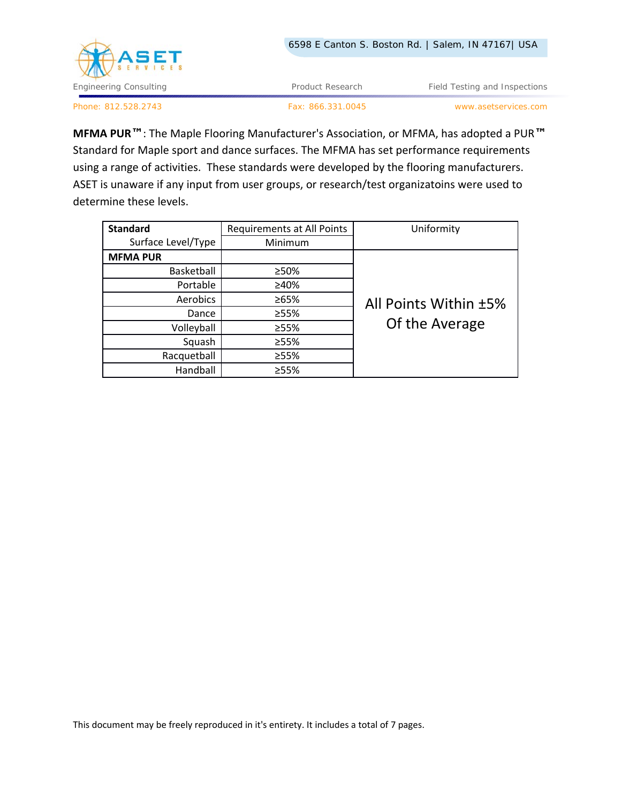

Phone: 812.528.2743 Fax: 866.331.0045 www.asetservices.com

**MFMA PUR™**: The Maple Flooring Manufacturer's Association, or MFMA, has adopted a PUR**™** Standard for Maple sport and dance surfaces. The MFMA has set performance requirements using a range of activities. These standards were developed by the flooring manufacturers. ASET is unaware if any input from user groups, or research/test organizatoins were used to determine these levels.

| <b>Standard</b>    | Requirements at All Points | Uniformity            |
|--------------------|----------------------------|-----------------------|
| Surface Level/Type | Minimum                    |                       |
| <b>MFMA PUR</b>    |                            |                       |
| Basketball         | ≥50%                       |                       |
| Portable           | ≥40%                       |                       |
| Aerobics           | ≥65%                       | All Points Within ±5% |
| Dance              | ≥55%                       |                       |
| Volleyball         | ≥55%                       | Of the Average        |
| Squash             | ≥55%                       |                       |
| Racquetball        | ≥55%                       |                       |
| Handball           | ≥55%                       |                       |

This document may be freely reproduced in it's entirety. It includes a total of 7 pages.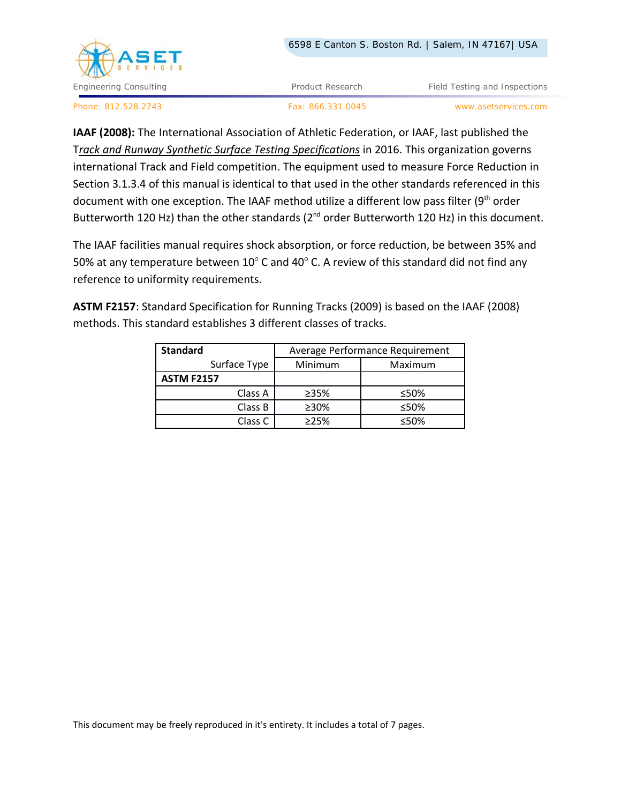

Engineering Consulting **Product Research Field Testing and Inspections Field Testing and Inspections** 

Phone: 812.528.2743 Fax: 866.331.0045 www.asetservices.com

**IAAF (2008):** The International Association of Athletic Federation, or IAAF, last published the T*rack and Runway Synthetic Surface Testing Specifications* in 2016. This organization governs international Track and Field competition. The equipment used to measure Force Reduction in Section 3.1.3.4 of this manual is identical to that used in the other standards referenced in this document with one exception. The IAAF method utilize a different low pass filter ( $9<sup>th</sup>$  order Butterworth 120 Hz) than the other standards ( $2^{nd}$  order Butterworth 120 Hz) in this document.

The IAAF facilities manual requires shock absorption, or force reduction, be between 35% and 50% at any temperature between  $10^{\circ}$  C and 40 $^{\circ}$  C. A review of this standard did not find any reference to uniformity requirements.

**ASTM F2157**: Standard Specification for Running Tracks (2009) is based on the IAAF (2008) methods. This standard establishes 3 different classes of tracks.

| <b>Standard</b>    | Average Performance Requirement |         |  |
|--------------------|---------------------------------|---------|--|
| Surface Type       | Minimum                         | Maximum |  |
| <b>ASTM F2157</b>  |                                 |         |  |
| Class A            | ≥35%                            | ≤50%    |  |
| Class B            | ≥30%                            | ≤50%    |  |
| Class <sub>C</sub> | >25%                            | ≤50%    |  |